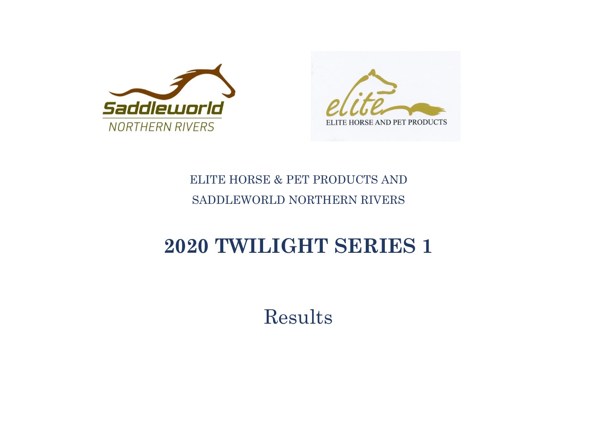



## ELITE HORSE & PET PRODUCTS AND SADDLEWORLD NORTHERN RIVERS

## **2020 TWILIGHT SERIES 1**

Results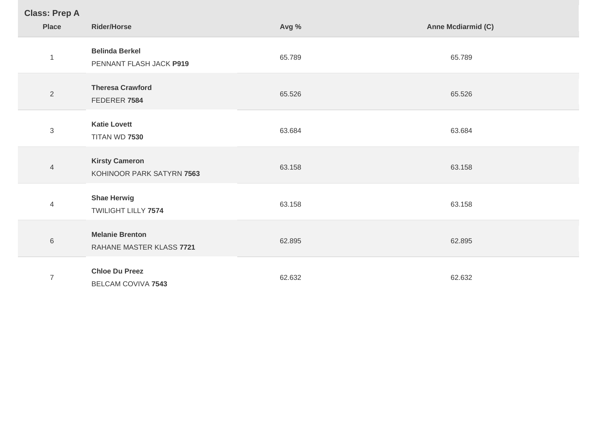| <b>Class: Prep A</b> |  |
|----------------------|--|
|----------------------|--|

| <u>------------</u><br><b>Place</b> | <b>Rider/Horse</b>                                 | Avg %  | Anne Mcdiarmid (C) |
|-------------------------------------|----------------------------------------------------|--------|--------------------|
| $\mathbf{1}$                        | <b>Belinda Berkel</b><br>PENNANT FLASH JACK P919   | 65.789 | 65.789             |
| $\overline{2}$                      | <b>Theresa Crawford</b><br>FEDERER 7584            | 65.526 | 65.526             |
| $\,3$                               | <b>Katie Lovett</b><br>TITAN WD 7530               | 63.684 | 63.684             |
| $\overline{4}$                      | <b>Kirsty Cameron</b><br>KOHINOOR PARK SATYRN 7563 | 63.158 | 63.158             |
| 4                                   | <b>Shae Herwig</b><br>TWILIGHT LILLY 7574          | 63.158 | 63.158             |
| $\,6$                               | <b>Melanie Brenton</b><br>RAHANE MASTER KLASS 7721 | 62.895 | 62.895             |
| $\overline{7}$                      | <b>Chloe Du Preez</b><br><b>BELCAM COVIVA 7543</b> | 62.632 | 62.632             |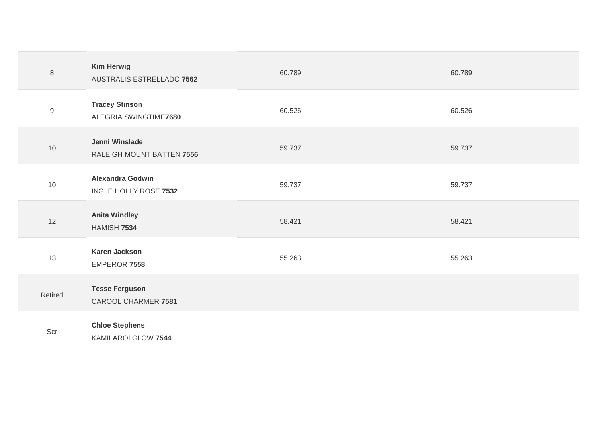| $\,8\,$          | <b>Kim Herwig</b><br>AUSTRALIS ESTRELLADO 7562   | 60.789 | 60.789 |
|------------------|--------------------------------------------------|--------|--------|
| $\boldsymbol{9}$ | <b>Tracey Stinson</b><br>ALEGRIA SWINGTIME7680   | 60.526 | 60.526 |
| $10$             | Jenni Winslade<br>RALEIGH MOUNT BATTEN 7556      | 59.737 | 59.737 |
| 10               | <b>Alexandra Godwin</b><br>INGLE HOLLY ROSE 7532 | 59.737 | 59.737 |
| 12               | <b>Anita Windley</b><br>HAMISH 7534              | 58.421 | 58.421 |
| 13               | <b>Karen Jackson</b><br>EMPEROR 7558             | 55.263 | 55.263 |
| Retired          | <b>Tesse Ferguson</b><br>CAROOL CHARMER 7581     |        |        |
| Scr              | <b>Chloe Stephens</b><br>KAMILAROI GLOW 7544     |        |        |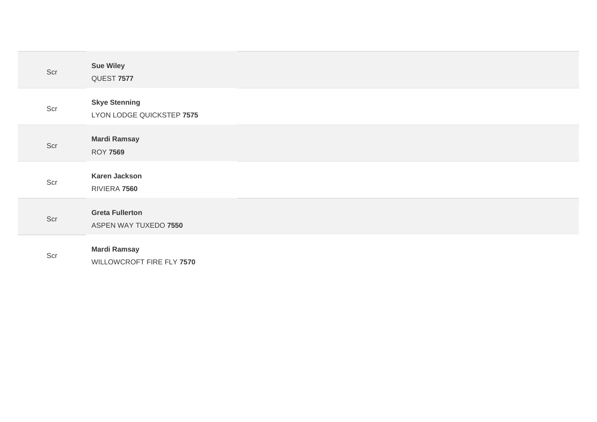| Scr | <b>Sue Wiley</b><br>QUEST 7577                    |
|-----|---------------------------------------------------|
| Scr | <b>Skye Stenning</b><br>LYON LODGE QUICKSTEP 7575 |
| Scr | <b>Mardi Ramsay</b><br><b>ROY 7569</b>            |
| Scr | <b>Karen Jackson</b><br>RIVIERA 7560              |
| Scr | <b>Greta Fullerton</b><br>ASPEN WAY TUXEDO 7550   |
| Scr | <b>Mardi Ramsay</b><br>WILLOWCROFT FIRE FLY 7570  |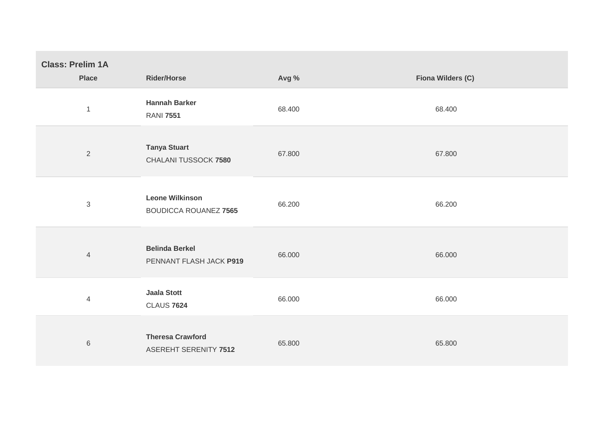| <b>Class: Prelim 1A</b><br><b>Place</b> | <b>Rider/Horse</b>                                     | Avg %  | Fiona Wilders (C) |
|-----------------------------------------|--------------------------------------------------------|--------|-------------------|
| $\mathbf{1}$                            | <b>Hannah Barker</b><br><b>RANI 7551</b>               | 68.400 | 68.400            |
| 2                                       | <b>Tanya Stuart</b><br>CHALANI TUSSOCK 7580            | 67.800 | 67.800            |
| $\sqrt{3}$                              | <b>Leone Wilkinson</b><br><b>BOUDICCA ROUANEZ 7565</b> | 66.200 | 66.200            |
| $\overline{4}$                          | <b>Belinda Berkel</b><br>PENNANT FLASH JACK P919       | 66.000 | 66.000            |
| $\overline{4}$                          | <b>Jaala Stott</b><br><b>CLAUS 7624</b>                | 66.000 | 66.000            |
| $\,$ 6 $\,$                             | <b>Theresa Crawford</b><br>ASEREHT SERENITY 7512       | 65.800 | 65.800            |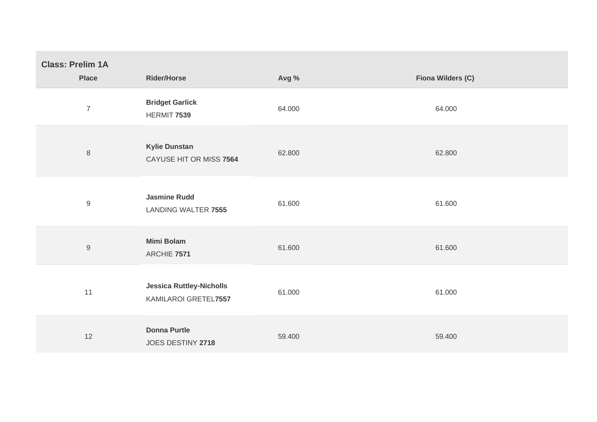| <b>Class: Prelim 1A</b><br><b>Place</b> | <b>Rider/Horse</b>                                      | Avg %  | Fiona Wilders (C) |
|-----------------------------------------|---------------------------------------------------------|--------|-------------------|
| $\overline{7}$                          | <b>Bridget Garlick</b><br>HERMIT 7539                   | 64.000 | 64.000            |
| $\,8\,$                                 | <b>Kylie Dunstan</b><br>CAYUSE HIT OR MISS 7564         | 62.800 | 62.800            |
| $\mathsf 9$                             | <b>Jasmine Rudd</b><br><b>LANDING WALTER 7555</b>       | 61.600 | 61.600            |
| $\mathsf 9$                             | <b>Mimi Bolam</b><br>ARCHIE 7571                        | 61.600 | 61.600            |
| 11                                      | <b>Jessica Ruttley-Nicholls</b><br>KAMILAROI GRETEL7557 | 61.000 | 61.000            |
| 12                                      | <b>Donna Purtle</b><br>JOES DESTINY 2718                | 59.400 | 59.400            |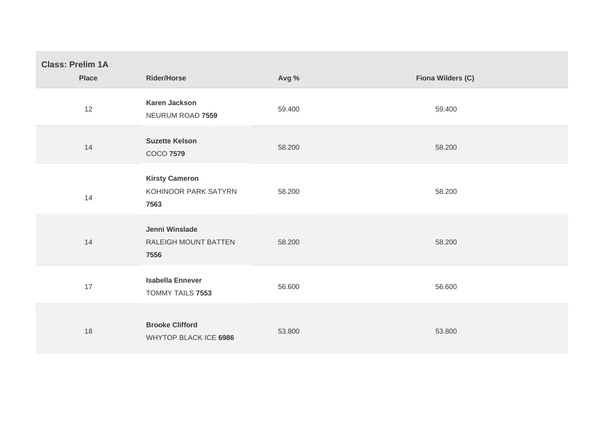| <b>Class: Prelim 1A</b><br><b>Place</b> | <b>Rider/Horse</b>                                    | Avg %  | Fiona Wilders (C) |
|-----------------------------------------|-------------------------------------------------------|--------|-------------------|
| 12                                      | <b>Karen Jackson</b><br>NEURUM ROAD 7559              | 59.400 | 59.400            |
| 14                                      | <b>Suzette Kelson</b><br><b>COCO 7579</b>             | 58.200 | 58.200            |
| 14                                      | <b>Kirsty Cameron</b><br>KOHINOOR PARK SATYRN<br>7563 | 58.200 | 58.200            |
| 14                                      | Jenni Winslade<br>RALEIGH MOUNT BATTEN<br>7556        | 58.200 | 58.200            |
| 17                                      | <b>Isabella Ennever</b><br>TOMMY TAILS 7553           | 56.600 | 56.600            |
| 18                                      | <b>Brooke Clifford</b><br>WHYTOP BLACK ICE 6986       | 53.800 | 53.800            |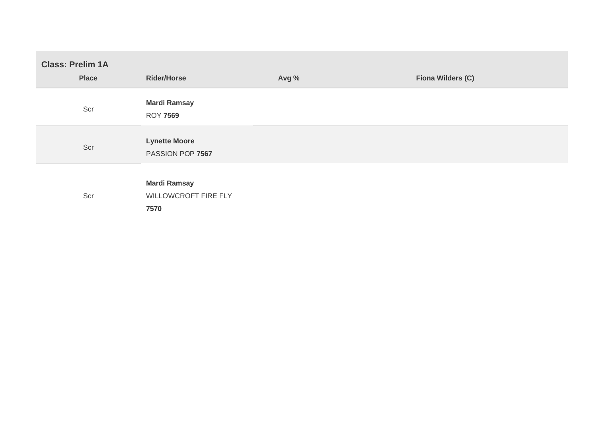| <b>Class: Prelim 1A</b><br><b>Place</b> | <b>Rider/Horse</b>                                  | Avg % | Fiona Wilders (C) |
|-----------------------------------------|-----------------------------------------------------|-------|-------------------|
| Scr                                     | <b>Mardi Ramsay</b><br><b>ROY 7569</b>              |       |                   |
| Scr                                     | <b>Lynette Moore</b><br>PASSION POP 7567            |       |                   |
| Scr                                     | <b>Mardi Ramsay</b><br>WILLOWCROFT FIRE FLY<br>7570 |       |                   |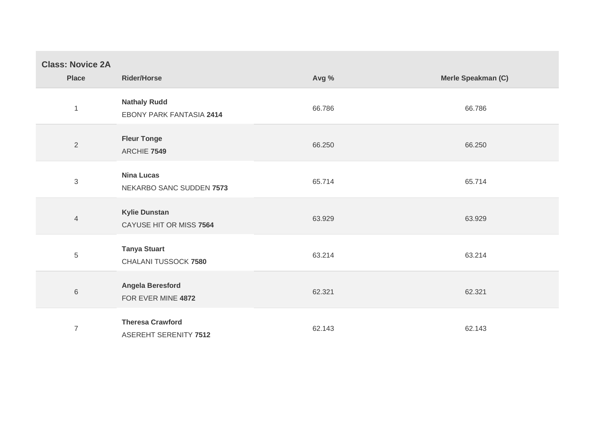| <b>Class: Novice 2A</b><br><b>Place</b> | <b>Rider/Horse</b>                                     | Avg %  | Merle Speakman (C) |
|-----------------------------------------|--------------------------------------------------------|--------|--------------------|
| $\overline{1}$                          | <b>Nathaly Rudd</b><br><b>EBONY PARK FANTASIA 2414</b> | 66.786 | 66.786             |
| $\sqrt{2}$                              | <b>Fleur Tonge</b><br>ARCHIE 7549                      | 66.250 | 66.250             |
| $\sqrt{3}$                              | <b>Nina Lucas</b><br>NEKARBO SANC SUDDEN 7573          | 65.714 | 65.714             |
| $\overline{4}$                          | <b>Kylie Dunstan</b><br>CAYUSE HIT OR MISS 7564        | 63.929 | 63.929             |
| $\,$ 5 $\,$                             | <b>Tanya Stuart</b><br>CHALANI TUSSOCK 7580            | 63.214 | 63.214             |
| $\,6\,$                                 | Angela Beresford<br>FOR EVER MINE 4872                 | 62.321 | 62.321             |
| $\overline{7}$                          | <b>Theresa Crawford</b><br>ASEREHT SERENITY 7512       | 62.143 | 62.143             |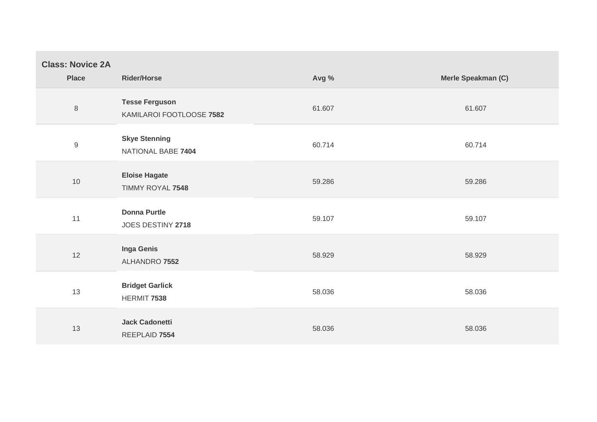| <b>Class: Novice 2A</b><br><b>Place</b> | <b>Rider/Horse</b>                                | Avg %  | Merle Speakman (C) |
|-----------------------------------------|---------------------------------------------------|--------|--------------------|
| $\,8\,$                                 | <b>Tesse Ferguson</b><br>KAMILAROI FOOTLOOSE 7582 | 61.607 | 61.607             |
| $\boldsymbol{9}$                        | <b>Skye Stenning</b><br>NATIONAL BABE 7404        | 60.714 | 60.714             |
| 10                                      | <b>Eloise Hagate</b><br>TIMMY ROYAL 7548          | 59.286 | 59.286             |
| 11                                      | <b>Donna Purtle</b><br>JOES DESTINY 2718          | 59.107 | 59.107             |
| 12                                      | <b>Inga Genis</b><br>ALHANDRO 7552                | 58.929 | 58.929             |
| 13                                      | <b>Bridget Garlick</b><br>HERMIT 7538             | 58.036 | 58.036             |
| 13                                      | <b>Jack Cadonetti</b><br>REEPLAID 7554            | 58.036 | 58.036             |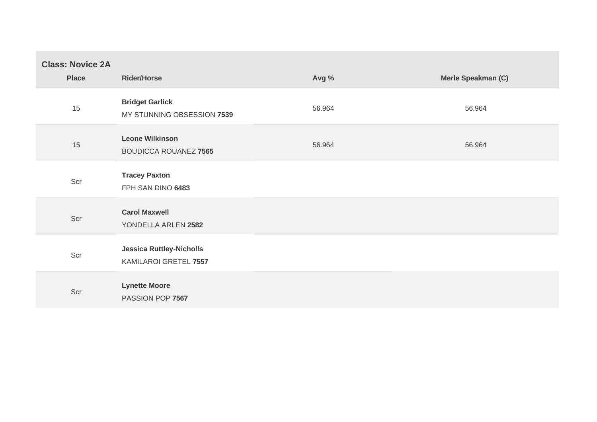| <b>Class: Novice 2A</b><br><b>Place</b> | <b>Rider/Horse</b>                                       | Avg %  | Merle Speakman (C) |
|-----------------------------------------|----------------------------------------------------------|--------|--------------------|
| 15                                      | <b>Bridget Garlick</b><br>MY STUNNING OBSESSION 7539     | 56.964 | 56.964             |
| 15                                      | <b>Leone Wilkinson</b><br><b>BOUDICCA ROUANEZ 7565</b>   | 56.964 | 56.964             |
| Scr                                     | <b>Tracey Paxton</b><br>FPH SAN DINO 6483                |        |                    |
| Scr                                     | <b>Carol Maxwell</b><br>YONDELLA ARLEN 2582              |        |                    |
| Scr                                     | <b>Jessica Ruttley-Nicholls</b><br>KAMILAROI GRETEL 7557 |        |                    |
| Scr                                     | <b>Lynette Moore</b><br>PASSION POP 7567                 |        |                    |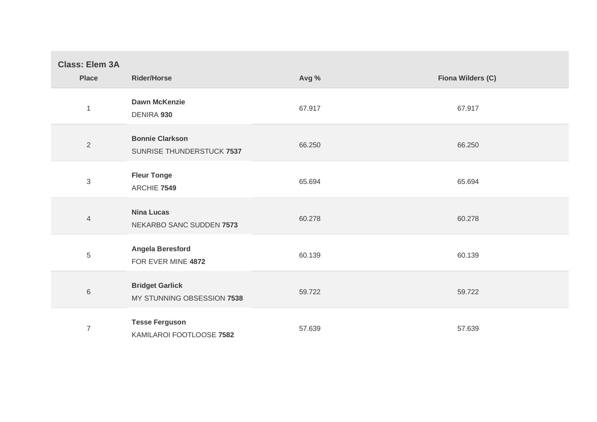| <b>Class: Elem 3A</b><br><b>Place</b> | <b>Rider/Horse</b>                                   | Avg %  | Fiona Wilders (C) |
|---------------------------------------|------------------------------------------------------|--------|-------------------|
| $\mathbf{1}$                          | <b>Dawn McKenzie</b><br>DENIRA 930                   | 67.917 | 67.917            |
| $\overline{2}$                        | <b>Bonnie Clarkson</b><br>SUNRISE THUNDERSTUCK 7537  | 66.250 | 66.250            |
| $\mathfrak{S}$                        | <b>Fleur Tonge</b><br>ARCHIE 7549                    | 65.694 | 65.694            |
| $\overline{4}$                        | <b>Nina Lucas</b><br>NEKARBO SANC SUDDEN 7573        | 60.278 | 60.278            |
| 5                                     | Angela Beresford<br>FOR EVER MINE 4872               | 60.139 | 60.139            |
| $6\,$                                 | <b>Bridget Garlick</b><br>MY STUNNING OBSESSION 7538 | 59.722 | 59.722            |
| $\overline{7}$                        | <b>Tesse Ferguson</b><br>KAMILAROI FOOTLOOSE 7582    | 57.639 | 57.639            |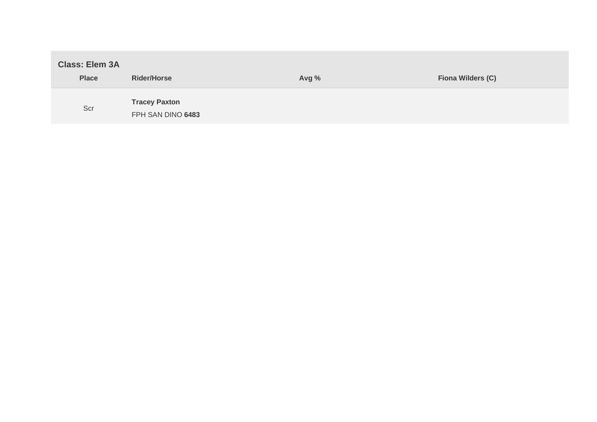| <b>Class: Elem 3A</b> |                                           |       |                   |
|-----------------------|-------------------------------------------|-------|-------------------|
| <b>Place</b>          | <b>Rider/Horse</b>                        | Avg % | Fiona Wilders (C) |
| Scr                   | <b>Tracey Paxton</b><br>FPH SAN DINO 6483 |       |                   |

**Contract** 

the control of the control of the control of the control of the control of the control of the control of the control of the control of the control of the control of the control of the control of the control of the control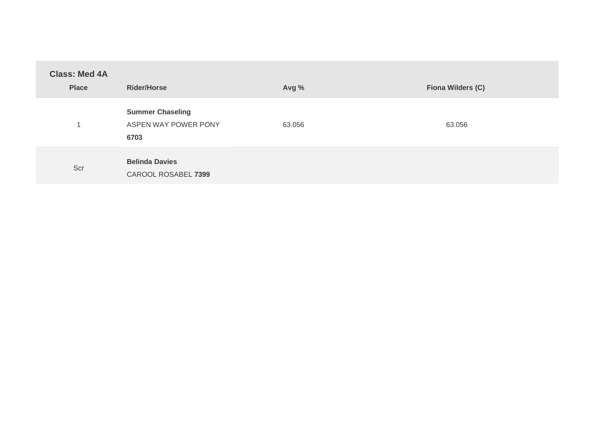| <b>Class: Med 4A</b><br><b>Place</b> | <b>Rider/Horse</b>                                      | Avg %  | Fiona Wilders (C) |
|--------------------------------------|---------------------------------------------------------|--------|-------------------|
|                                      | <b>Summer Chaseling</b><br>ASPEN WAY POWER PONY<br>6703 | 63.056 | 63.056            |
| Scr                                  | <b>Belinda Davies</b><br>CAROOL ROSABEL 7399            |        |                   |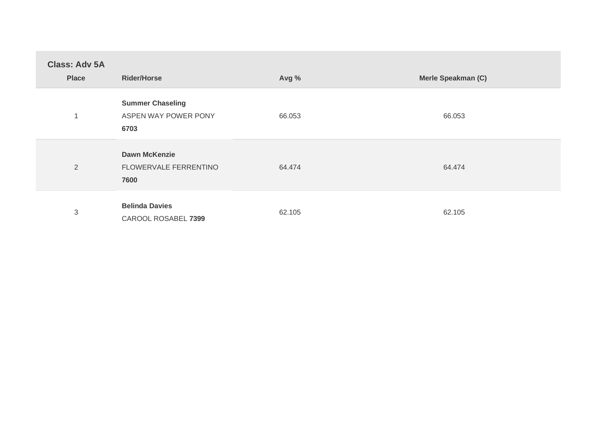| <b>Class: Adv 5A</b><br><b>Place</b> | <b>Rider/Horse</b>                                      | Avg %  | Merle Speakman (C) |
|--------------------------------------|---------------------------------------------------------|--------|--------------------|
| 1                                    | <b>Summer Chaseling</b><br>ASPEN WAY POWER PONY<br>6703 | 66.053 | 66.053             |
| $\overline{2}$                       | <b>Dawn McKenzie</b><br>FLOWERVALE FERRENTINO<br>7600   | 64.474 | 64.474             |
| 3                                    | <b>Belinda Davies</b><br>CAROOL ROSABEL 7399            | 62.105 | 62.105             |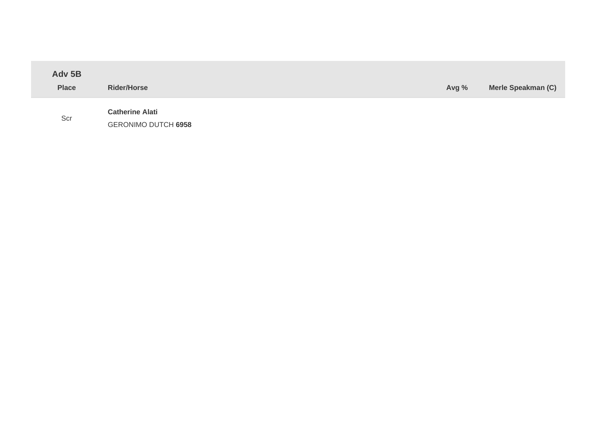| Adv 5B<br><b>Place</b> | <b>Rider/Horse</b>                                   | Avg % | Merle Speakman (C) |
|------------------------|------------------------------------------------------|-------|--------------------|
| Scr                    | <b>Catherine Alati</b><br><b>GERONIMO DUTCH 6958</b> |       |                    |